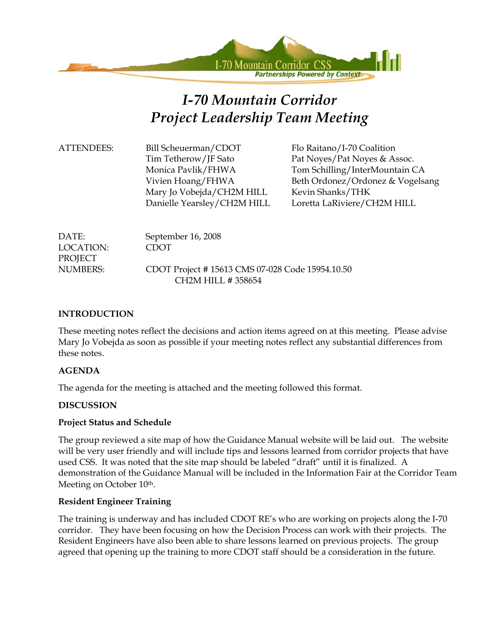

# *I-70 Mountain Corridor Project Leadership Team Meeting*

| <b>ATTENDEES:</b> | Bill Scheuerman/CDOT        |
|-------------------|-----------------------------|
|                   | Tim Tetherow/JF Sato        |
|                   | Monica Pavlik/FHWA          |
|                   | Vivien Hoang/FHWA           |
|                   | Mary Jo Vobejda/CH2M HILL   |
|                   | Danielle Yearsley/CH2M HILL |
|                   |                             |

Flo Raitano/I-70 Coalition Pat Noyes/Pat Noyes & Assoc. Tom Schilling/InterMountain CA Beth Ordonez/Ordonez & Vogelsang Kevin Shanks/THK Loretta LaRiviere/CH2M HILL

| DATE:     | September 16, 2008                              |
|-----------|-------------------------------------------------|
| LOCATION: | <b>CDOT</b>                                     |
| PROJECT   |                                                 |
| NUMBERS:  | CDOT Project #15613 CMS 07-028 Code 15954.10.50 |
|           | CH <sub>2</sub> M HILL # 358654                 |

#### **INTRODUCTION**

These meeting notes reflect the decisions and action items agreed on at this meeting. Please advise Mary Jo Vobejda as soon as possible if your meeting notes reflect any substantial differences from these notes.

#### **AGENDA**

The agenda for the meeting is attached and the meeting followed this format.

#### **DISCUSSION**

#### **Project Status and Schedule**

The group reviewed a site map of how the Guidance Manual website will be laid out. The website will be very user friendly and will include tips and lessons learned from corridor projects that have used CSS. It was noted that the site map should be labeled "draft" until it is finalized. A demonstration of the Guidance Manual will be included in the Information Fair at the Corridor Team Meeting on October 10<sup>th</sup>.

#### **Resident Engineer Training**

The training is underway and has included CDOT RE's who are working on projects along the I-70 corridor. They have been focusing on how the Decision Process can work with their projects. The Resident Engineers have also been able to share lessons learned on previous projects. The group agreed that opening up the training to more CDOT staff should be a consideration in the future.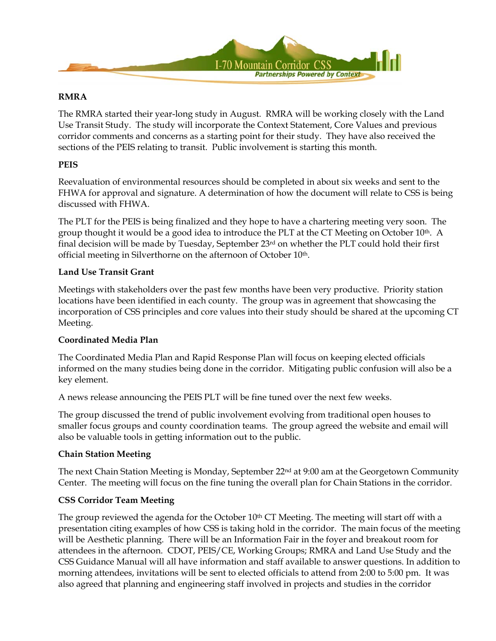

#### **RMRA**

The RMRA started their year-long study in August. RMRA will be working closely with the Land Use Transit Study. The study will incorporate the Context Statement, Core Values and previous corridor comments and concerns as a starting point for their study. They have also received the sections of the PEIS relating to transit. Public involvement is starting this month.

#### **PEIS**

Reevaluation of environmental resources should be completed in about six weeks and sent to the FHWA for approval and signature. A determination of how the document will relate to CSS is being discussed with FHWA.

The PLT for the PEIS is being finalized and they hope to have a chartering meeting very soon. The group thought it would be a good idea to introduce the PLT at the CT Meeting on October  $10<sup>th</sup>$ . A final decision will be made by Tuesday, September  $23<sup>rd</sup>$  on whether the PLT could hold their first official meeting in Silverthorne on the afternoon of October 10<sup>th</sup>.

#### **Land Use Transit Grant**

Meetings with stakeholders over the past few months have been very productive. Priority station locations have been identified in each county. The group was in agreement that showcasing the incorporation of CSS principles and core values into their study should be shared at the upcoming CT Meeting.

#### **Coordinated Media Plan**

The Coordinated Media Plan and Rapid Response Plan will focus on keeping elected officials informed on the many studies being done in the corridor. Mitigating public confusion will also be a key element.

A news release announcing the PEIS PLT will be fine tuned over the next few weeks.

The group discussed the trend of public involvement evolving from traditional open houses to smaller focus groups and county coordination teams. The group agreed the website and email will also be valuable tools in getting information out to the public.

#### **Chain Station Meeting**

The next Chain Station Meeting is Monday, September 22<sup>nd</sup> at 9:00 am at the Georgetown Community Center. The meeting will focus on the fine tuning the overall plan for Chain Stations in the corridor.

#### **CSS Corridor Team Meeting**

The group reviewed the agenda for the October  $10<sup>th</sup>$  CT Meeting. The meeting will start off with a presentation citing examples of how CSS is taking hold in the corridor. The main focus of the meeting will be Aesthetic planning. There will be an Information Fair in the foyer and breakout room for attendees in the afternoon. CDOT, PEIS/CE, Working Groups; RMRA and Land Use Study and the CSS Guidance Manual will all have information and staff available to answer questions. In addition to morning attendees, invitations will be sent to elected officials to attend from 2:00 to 5:00 pm. It was also agreed that planning and engineering staff involved in projects and studies in the corridor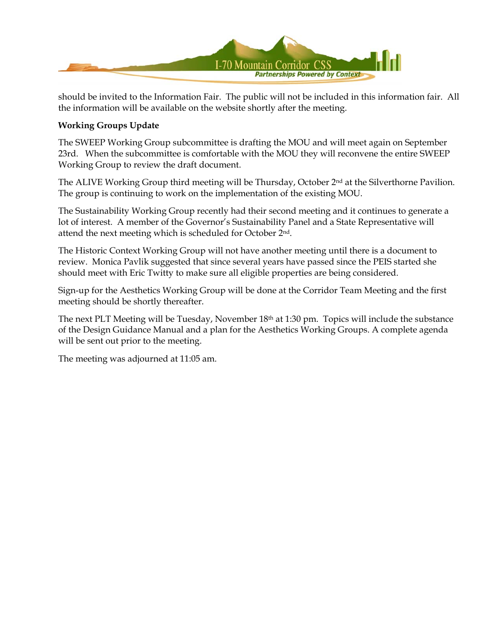

should be invited to the Information Fair. The public will not be included in this information fair. All the information will be available on the website shortly after the meeting.

#### **Working Groups Update**

The SWEEP Working Group subcommittee is drafting the MOU and will meet again on September 23rd. When the subcommittee is comfortable with the MOU they will reconvene the entire SWEEP Working Group to review the draft document.

The ALIVE Working Group third meeting will be Thursday, October 2<sup>nd</sup> at the Silverthorne Pavilion. The group is continuing to work on the implementation of the existing MOU.

The Sustainability Working Group recently had their second meeting and it continues to generate a lot of interest. A member of the Governor's Sustainability Panel and a State Representative will attend the next meeting which is scheduled for October 2nd.

The Historic Context Working Group will not have another meeting until there is a document to review. Monica Pavlik suggested that since several years have passed since the PEIS started she should meet with Eric Twitty to make sure all eligible properties are being considered.

Sign-up for the Aesthetics Working Group will be done at the Corridor Team Meeting and the first meeting should be shortly thereafter.

The next PLT Meeting will be Tuesday, November 18th at 1:30 pm. Topics will include the substance of the Design Guidance Manual and a plan for the Aesthetics Working Groups. A complete agenda will be sent out prior to the meeting.

The meeting was adjourned at 11:05 am.